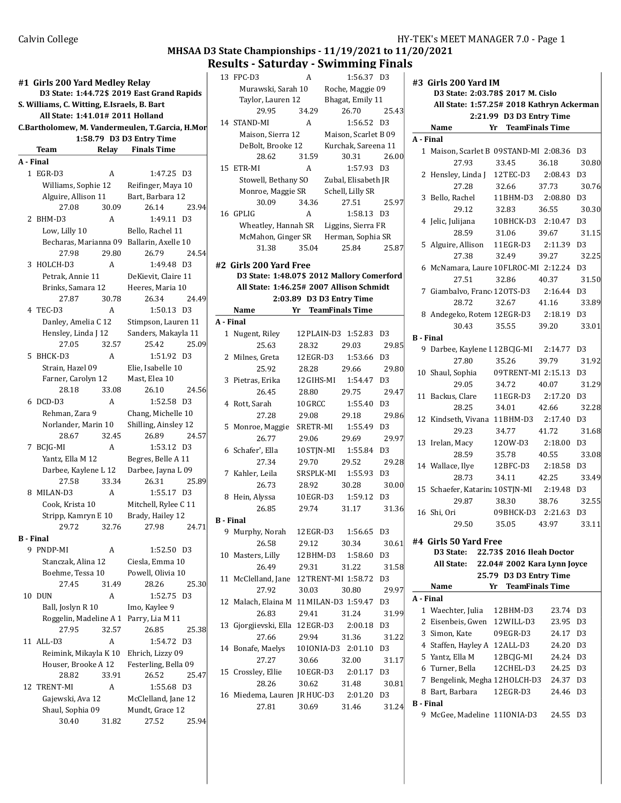## MHSAA D3 State Championships - 11/19/2021 to 11/20/2021 Results - Saturday - Swimming Finals

|    | #1 Girls 200 Yard Medley Relay                                                            |       |                                        |       | 1            |
|----|-------------------------------------------------------------------------------------------|-------|----------------------------------------|-------|--------------|
|    | D3 State: 1:44.72\$ 2019 East Grand Rapids<br>S. Williams, C. Witting, E.Israels, B. Bart |       |                                        |       |              |
|    | All State: 1:41.01# 2011 Holland                                                          |       |                                        |       |              |
|    | C.Bartholomew, M. Vandermeulen, T.Garcia, H.Mor                                           |       |                                        |       | 1            |
|    |                                                                                           |       | 1:58.79 D3 D3 Entry Time               |       |              |
|    | Team                                                                                      | Relay | <b>Finals Time</b>                     |       |              |
|    | A - Final                                                                                 |       |                                        |       |              |
|    |                                                                                           |       |                                        |       | $\mathbf{1}$ |
|    | 1 EGR-D3                                                                                  | A     | 1:47.25 D3                             |       |              |
|    | Williams, Sophie 12                                                                       |       | Reifinger, Maya 10                     |       |              |
|    | Alguire, Allison 11                                                                       |       | Bart, Barbara 12                       |       |              |
|    | 27.08                                                                                     | 30.09 | 26.14                                  | 23.94 | 1            |
|    | 2 BHM-D3                                                                                  | A     | 1:49.11 D3                             |       |              |
|    | Low, Lilly 10                                                                             |       | Bello, Rachel 11                       |       |              |
|    | Becharas, Marianna 09                                                                     |       | Ballarin, Axelle 10                    |       |              |
|    | 27.98                                                                                     | 29.80 | 26.79                                  | 24.54 |              |
|    | 3 HOLCH-D3                                                                                | A     | 1:49.48 D3                             |       | #2           |
|    | Petrak, Annie 11                                                                          |       | DeKievit, Claire 11                    |       |              |
|    | Brinks, Samara 12                                                                         |       | Heeres, Maria 10                       |       |              |
|    | 27.87                                                                                     | 30.78 | 26.34                                  | 24.49 |              |
|    | 4 TEC-D3                                                                                  | A     | $1:50.13$ D <sub>3</sub>               |       |              |
|    | Danley, Amelia C 12                                                                       |       | Stimpson, Lauren 11                    |       | А.           |
|    | Hensley, Linda J 12                                                                       |       | Sanders, Makayla 11                    |       |              |
|    | 27.05                                                                                     | 32.57 | 25.42                                  | 25.09 |              |
|    | 5 BHCK-D3                                                                                 | A     | 1:51.92                                | D.3   |              |
|    | Strain, Hazel 09                                                                          |       | Elie, Isabelle 10                      |       |              |
|    | Farner, Carolyn 12                                                                        |       | Mast, Elea 10                          |       |              |
|    | 28.18                                                                                     | 33.08 | 26.10                                  | 24.56 |              |
|    | 6 DCD-D3                                                                                  | A     | 1:52.58 D3                             |       |              |
|    | Rehman, Zara 9                                                                            |       | Chang, Michelle 10                     |       |              |
|    | Norlander, Marin 10                                                                       |       | Shilling, Ainsley 12                   |       |              |
|    | 28.67                                                                                     | 32.45 | 26.89                                  | 24.57 |              |
| 7  | BCJG-MI                                                                                   | A     | 1:53.12 D3                             |       |              |
|    | Yantz, Ella M 12                                                                          |       | Begres, Belle A 11                     |       |              |
|    | Darbee, Kaylene L 12                                                                      |       | Darbee, Jayna L 09                     |       |              |
|    | 27.58                                                                                     | 33.34 | 26.31                                  | 25.89 |              |
|    | 8 MILAN-D3                                                                                | A     | 1:55.17 D3                             |       |              |
|    | Cook, Krista 10                                                                           |       | Mitchell, Rylee C 11                   |       |              |
|    | Stripp, Kamryn E 10                                                                       |       | Brady, Hailey 12                       |       |              |
|    | 29.72                                                                                     | 32.76 | 27.98                                  | 24.71 | в.           |
|    | B - Final                                                                                 |       |                                        |       |              |
|    | 9 PNDP-MI                                                                                 | A     | 1:52.50 D3                             |       |              |
|    | Stanczak, Alina 12                                                                        |       | Ciesla, Emma 10                        |       | 1            |
|    | Boehme, Tessa 10                                                                          |       | Powell, Olivia 10                      |       |              |
|    | 27.45                                                                                     | 31.49 | 28.26                                  | 25.30 | 1            |
| 10 | DUN                                                                                       | A     | 1:52.75                                | D3    |              |
|    | Ball, Joslyn R 10                                                                         |       | Imo, Kaylee 9                          |       | 1            |
|    | Roggelin, Madeline A 1                                                                    |       | Parry, Lia M 11                        |       |              |
|    | 27.95                                                                                     | 32.57 | 26.85                                  | 25.38 | 1            |
|    | 11 ALL-D3                                                                                 | A     | 1:54.72                                | D.3   |              |
|    | Reimink, Mikayla K 10                                                                     |       | Ehrich, Lizzy 09                       |       | 1            |
|    | Houser, Brooke A 12                                                                       |       | Festerling, Bella 09                   |       |              |
|    | 28.82                                                                                     | 33.91 | 26.52                                  | 25.47 | 1            |
|    | 12 TRENT-MI                                                                               | A     | 1:55.68 D3                             |       |              |
|    |                                                                                           |       |                                        |       | 1            |
|    | Gajewski, Ava 12<br>Shaul, Sophia 09                                                      |       | McClelland, Jane 12<br>Mundt, Grace 12 |       |              |
|    | 30.40                                                                                     | 31.82 | 27.52                                  | 25.94 |              |
|    |                                                                                           |       |                                        |       |              |

| 13        | FPC-D3                                     | A          | 1:56.37                  | D3             | Ħ |
|-----------|--------------------------------------------|------------|--------------------------|----------------|---|
|           | Murawski, Sarah 10                         |            | Roche, Maggie 09         |                |   |
|           | Taylor, Lauren 12                          |            | Bhagat, Emily 11         |                |   |
|           | 29.95                                      | 34.29      | 26.70                    | 25.43          |   |
|           | 14 STAND-MI                                | A          | 1:56.52                  | D <sub>3</sub> |   |
|           | Maison, Sierra 12                          |            | Maison, Scarlet B 09     |                |   |
|           | DeBolt, Brooke 12                          |            | Kurchak, Sareena 11      |                | A |
|           |                                            |            |                          | 26.00          |   |
|           | 28.62                                      | 31.59      | 30.31                    |                |   |
| 15        | ETR-MI                                     | A          | 1:57.93                  | D <sub>3</sub> |   |
|           | Stowell, Bethany SO                        |            | Zubal, Elisabeth JR      |                |   |
|           | Monroe, Maggie SR                          |            | Schell, Lilly SR         |                |   |
|           | 30.09                                      | 34.36      | 27.51                    | 25.97          |   |
|           | 16 GPLIG                                   | A          | 1:58.13                  | D <sub>3</sub> |   |
|           | Wheatley, Hannah SR                        |            | Liggins, Sierra FR       |                |   |
|           | McMahon, Ginger SR                         |            | Herman, Sophia SR        |                |   |
|           | 31.38                                      | 35.04      | 25.84                    | 25.87          |   |
|           |                                            |            |                          |                |   |
|           | #2 Girls 200 Yard Free                     |            |                          |                |   |
|           | D3 State: 1:48.07\$ 2012 Mallory Comerford |            |                          |                |   |
|           | All State: 1:46.25# 2007 Allison Schmidt   |            |                          |                |   |
|           |                                            |            | 2:03.89 D3 D3 Entry Time |                |   |
|           | Name                                       | Yr         | <b>TeamFinals Time</b>   |                |   |
| A - Final |                                            |            |                          |                |   |
|           | 1 Nugent, Riley                            |            | 12 PLAIN-D3 1:52.83      | D <sub>3</sub> | B |
|           | 25.63                                      | 28.32      | 29.03                    | 29.85          |   |
|           | 2 Milnes, Greta                            | 12 EGR-D3  | 1:53.66                  | D <sub>3</sub> |   |
|           | 25.92                                      | 28.28      | 29.66                    | 29.80          |   |
|           | 3 Pietras, Erika                           | 12 GIHS-MI | 1:54.47                  | D <sub>3</sub> |   |
|           | 26.45                                      | 28.80      | 29.75                    | 29.47          |   |
|           | 4 Rott, Sarah                              | 10GRCC     | 1:55.40                  | D3             |   |
|           | 27.28                                      | 29.08      | 29.18                    | 29.86          |   |
| 5         | Monroe, Maggie                             | SRETR-MI   | 1:55.49                  | D <sub>3</sub> |   |
|           | 26.77                                      | 29.06      | 29.69                    | 29.97          |   |
|           | 6 Schafer', Ella                           | 10 STJN-MI | 1:55.84                  | D <sub>3</sub> |   |
|           |                                            |            |                          |                |   |
|           | 27.34                                      | 29.70      | 29.52                    | 29.28          |   |
|           | 7 Kahler, Leila                            |            | SR SPLK-MI 1:55.93       | D <sub>3</sub> |   |
|           | 26.73                                      | 28.92      | 30.28                    | 30.00          |   |
|           | 8 Hein, Alyssa                             | 10EGR-D3   | 1:59.12                  | D <sub>3</sub> |   |
|           | 26.85                                      | 29.74      | 31.17                    | 31.36          |   |
| B - Final |                                            |            |                          |                |   |
| 9         | Murphy, Norah                              | 12 EGR-D3  | 1:56.65                  | D3             |   |
|           | 26.58                                      | 29.12      | 30.34                    | 30.61          | Ħ |
|           | 10 Masters, Lilly                          | 12BHM-D3   | 1:58.60                  | D <sub>3</sub> |   |
|           | 26.49                                      | 29.31      | 31.22                    | 31.58          |   |
|           | 11 McClelland, Jane 12TRENT-MI 1:58.72     |            |                          | D <sub>3</sub> |   |
|           | 27.92                                      | 30.03      | 30.80                    | 29.97          |   |
|           | 12 Malach, Elaina M 11 MILAN-D3 1:59.47    |            |                          | D <sub>3</sub> | Α |
|           | 26.83                                      | 29.41      | 31.24                    | 31.99          |   |
|           |                                            |            | 2:00.18                  | D <sub>3</sub> |   |
|           | 13 Gjorgjievski, Ella 12 EGR-D3            |            |                          |                |   |
|           | 27.66                                      | 29.94      | 31.36                    | 31.22          |   |
|           | 14 Bonafe, Maelys                          | 10IONIA-D3 | 2:01.10                  | D3             |   |
|           | 27.27                                      | 30.66      | 32.00                    | 31.17          |   |
|           | 15 Crossley, Ellie                         | 10EGR-D3   | 2:01.17                  | D3             |   |
|           | 28.26                                      | 30.62      | 31.48                    | 30.81          |   |
|           | 16 Miedema, Lauren JR HUC-D3               |            | 2:01.20                  | D3             |   |
|           | 27.81                                      | 30.69      | 31.46                    | 31.24          | B |
|           |                                            |            |                          |                |   |

| #3 Girls 200 Yard IM |                                            |                           |                        |                |  |
|----------------------|--------------------------------------------|---------------------------|------------------------|----------------|--|
|                      | D3 State: 2:03.78\$ 2017 M. Cislo          |                           |                        |                |  |
|                      | All State: 1:57.25# 2018 Kathryn Ackerman  | 2:21.99 D3 D3 Entry Time  |                        |                |  |
|                      | Name                                       | Yr TeamFinals Time        |                        |                |  |
| A - Final            |                                            |                           |                        |                |  |
|                      | 1 Maison, Scarlet B 09STAND-MI 2:08.36     |                           |                        | D3             |  |
|                      | 27.93                                      | 33.45                     | 36.18                  | 30.80          |  |
| 2                    | Hensley, Linda J 12TEC-D3 2:08.43          |                           |                        | D <sub>3</sub> |  |
|                      | 27.28                                      | 32.66                     | 37.73                  | 30.76          |  |
|                      | 3 Bello, Rachel                            | 11BHM-D3 2:08.80          |                        | D <sub>3</sub> |  |
|                      | 29.12                                      | 32.83                     | 36.55                  | 30.30          |  |
|                      | 4 Jelic, Julijana                          | 10BHCK-D3 2:10.47         |                        | D <sub>3</sub> |  |
|                      | 28.59                                      | 31.06                     | 39.67                  | 31.15          |  |
|                      | 5 Alguire, Allison 11EGR-D3                |                           | 2:11.39                | D <sub>3</sub> |  |
|                      | 27.38                                      | 32.49                     | 39.27                  | 32.25          |  |
|                      | 6 McNamara, Laure 10 FLROC-MI 2:12.24      |                           |                        | D3             |  |
|                      | 27.51                                      | 32.86                     | 40.37                  | 31.50          |  |
|                      | 7 Giambalvo, Franc 120TS-D3 2:16.44        |                           |                        | D3             |  |
|                      | 28.72                                      | 32.67                     | 41.16                  | 33.89          |  |
|                      | 8 Andegeko, Rotem 12EGR-D3 2:18.19         |                           |                        | D <sub>3</sub> |  |
|                      | 30.43                                      | 35.55                     | 39.20                  | 33.01          |  |
| <b>B</b> - Final     |                                            |                           |                        |                |  |
|                      | 9 Darbee, Kaylene I 12 BCJG-MI 2:14.77 D3  |                           |                        |                |  |
|                      | 27.80                                      | 35.26                     | 39.79                  | 31.92          |  |
|                      | 10 Shaul, Sophia                           | 09TRENT-MI 2:15.13        |                        | D <sub>3</sub> |  |
|                      | 29.05                                      | 34.72                     | 40.07                  | 31.29          |  |
|                      | 11 Backus, Clare                           | 11EGR-D3                  | 2:17.20                | D <sub>3</sub> |  |
|                      | 28.25                                      | 34.01                     | 42.66                  | 32.28          |  |
|                      | 12 Kindseth, Vivana 11 BHM-D3 2:17.40      |                           |                        | D <sub>3</sub> |  |
|                      | 29.23                                      | 34.77                     | 41.72                  | 31.68          |  |
|                      | 13 Irelan, Macy 120W-D3                    |                           | 2:18.00 D3             |                |  |
|                      | 28.59                                      | 35.78                     | 40.55                  | 33.08          |  |
|                      | 14 Wallace, Ilye                           | 12 BFC-D3                 | 2:18.58 D3             |                |  |
|                      | 28.73                                      | 34.11                     | 42.25                  | 33.49          |  |
|                      | 15 Schaefer, Katarin; 10STJN-MI 2:19.48 D3 |                           |                        |                |  |
|                      | 29.87                                      | 38.30                     | 38.76                  | 32.55          |  |
|                      | 16 Shi, Ori                                | 09BHCK-D3                 | 2:21.63 D3             |                |  |
|                      | 29.50                                      | 35.05 43.97               |                        | 33.11          |  |
|                      |                                            |                           |                        |                |  |
|                      | #4 Girls 50 Yard Free<br>D3 State:         | 22.73\$ 2016 Ileah Doctor |                        |                |  |
|                      | All State: 22.04# 2002 Kara Lynn Joyce     |                           |                        |                |  |
|                      |                                            | 25.79 D3 D3 Entry Time    |                        |                |  |
|                      | Name                                       | Yr                        | <b>TeamFinals Time</b> |                |  |
| A - Final            |                                            |                           |                        |                |  |
|                      | 1 Waechter, Julia 12 BHM-D3                |                           | 23.74                  | D3             |  |
|                      | 2 Eisenbeis, Gwen 12 WILL-D3               |                           | 23.95                  | D <sub>3</sub> |  |
|                      | 3 Simon, Kate                              | 09EGR-D3                  | 24.17                  | D3             |  |
|                      | 4 Staffen, Hayley A 12 ALL-D3              |                           | 24.20                  | D3             |  |
|                      | 5 Yantz, Ella M                            | 12 BCJG-MI                | 24.24                  | D3             |  |
|                      | 6 Turner, Bella                            | 12 CHEL-D3                | 24.25                  | D3             |  |
|                      | 7 Bengelink, Megha 12 HOLCH-D3             |                           | 24.37                  | D3             |  |
|                      | 8 Bart, Barbara                            | 12EGR-D3                  | 24.46                  | D3             |  |
| <b>B</b> - Final     |                                            |                           |                        |                |  |
|                      | 9 McGee, Madeline 11IONIA-D3               |                           | 24.55                  | D3             |  |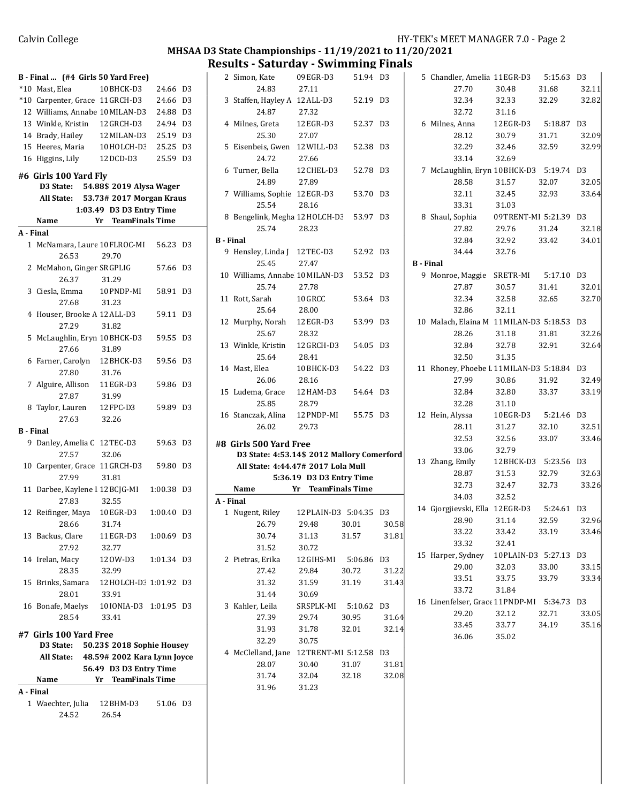#### MHSAA D3 State Championships - 11/19/2021 to 11/20/2021 Results - Saturday - Swimming Finals

|              | B - Final  (#4 Girls 50 Yard Free)              |                              |          |                |
|--------------|-------------------------------------------------|------------------------------|----------|----------------|
|              | *10 Mast, Elea                                  | 10BHCK-D3                    | 24.66    | D3             |
|              | *10 Carpenter, Grace 11GRCH-D3                  |                              | 24.66    | D <sub>3</sub> |
|              | 12 Williams, Annabe 10 MILAN-D3                 |                              | 24.88    | D <sub>3</sub> |
|              | 13 Winkle, Kristin 12 GRCH-D3                   |                              | 24.94    | D <sub>3</sub> |
|              | 14 Brady, Hailey                                | 12 MILAN-D3                  | 25.19    | D <sub>3</sub> |
|              | 15 Heeres, Maria                                | 10HOLCH-D3                   | 25.25    | D <sub>3</sub> |
| 16           | Higgins, Lily                                   | 12 DCD-D3                    | 25.59 D3 |                |
|              | #6 Girls 100 Yard Fly                           |                              |          |                |
|              | D3 State: 54.88\$ 2019 Alysa Wager              |                              |          |                |
|              | All State: 53.73# 2017 Morgan Kraus             |                              |          |                |
|              |                                                 | 1:03.49 D3 D3 Entry Time     |          |                |
|              | Name                                            | <b>TeamFinals Time</b><br>Yr |          |                |
| A - Final    |                                                 |                              |          |                |
| $\mathbf{1}$ | McNamara, Laure 10 FLROC-MI<br>26.53            | 29.70                        | 56.23    | D <sub>3</sub> |
|              | 2 McMahon, Ginger SRGPLIG<br>26.37              | 31.29                        | 57.66    | D <sub>3</sub> |
|              | 3 Ciesla, Emma 10 PNDP-MI<br>27.68              | 31.23                        | 58.91    | D3             |
|              | 4 Houser, Brooke A 12 ALL-D3<br>27.29           | 31.82                        | 59.11    | D <sub>3</sub> |
|              | 5 McLaughlin, Eryn 10 BHCK-D3<br>27.66          | 31.89                        | 59.55    | D <sub>3</sub> |
|              | 6 Farner, Carolyn 12 BHCK-D3<br>27.80           | 31.76                        | 59.56    | D <sub>3</sub> |
|              | 7 Alguire, Allison 11EGR-D3<br>27.87            |                              | 59.86    | D <sub>3</sub> |
| 8            | Taylor, Lauren<br>27.63                         | 31.99<br>12 FPC-D3           | 59.89    | D <sub>3</sub> |
| B - Final    |                                                 | 32.26                        |          |                |
|              | 9 Danley, Amelia C 12TEC-D3                     |                              | 59.63    | D <sub>3</sub> |
|              | 27.57                                           | 32.06                        |          |                |
| 10           | Carpenter, Grace 11 GRCH-D3<br>27.99            | 31.81                        | 59.80    | D3             |
| 11           | Darbee, Kaylene I 12 BCJG-MI<br>27.83           | 32.55                        | 1:00.38  | D <sub>3</sub> |
|              | 12 Reifinger, Maya 10EGR-D3 1:00.40 D3<br>28.66 | 31.74                        |          |                |
|              | 13 Backus, Clare<br>27.92                       | 11 EGR-D3<br>32.77           | 1:00.69  | D3             |
|              | 14 Irelan, Macy<br>28.35                        | 120W-D3<br>32.99             | 1:01.34  | D3             |
|              | 15 Brinks, Samara 12 HOLCH-D3 1:01.92<br>28.01  | 33.91                        |          | D3             |
|              | 16 Bonafe, Maelys 10IONIA-D3 1:01.95<br>28.54   | 33.41                        |          | D3             |
|              | #7 Girls 100 Yard Free                          |                              |          |                |
|              | D3 State: 50.23\$ 2018 Sophie Housey            |                              |          |                |
|              | All State: 48.59# 2002 Kara Lynn Joyce          |                              |          |                |
|              |                                                 | 56.49 D3 D3 Entry Time       |          |                |
|              | Name                                            | Yr TeamFinals Time           |          |                |
| A - Final    |                                                 |                              |          |                |
|              | 1 Waechter, Julia 12 BHM-D3                     |                              | 51.06 D3 |                |
|              | 24.52                                           | 26.54                        |          |                |
|              |                                                 |                              |          |                |

|                  | 2 Simon, Kate                              | 09 EGR-D3                | 51.94 D3               |       |                  | 5 Chandler, Amelia 11EGR-D3             |                       | 5:15.63    | D3             |
|------------------|--------------------------------------------|--------------------------|------------------------|-------|------------------|-----------------------------------------|-----------------------|------------|----------------|
|                  | 24.83                                      | 27.11                    |                        |       |                  | 27.70                                   | 30.48                 | 31.68      | 32             |
|                  | 3 Staffen, Hayley A 12 ALL-D3              |                          | 52.19 D3               |       |                  | 32.34                                   | 32.33                 | 32.29      | 3 <sup>2</sup> |
|                  | 24.87                                      | 27.32                    |                        |       |                  | 32.72                                   | 31.16                 |            |                |
|                  | 4 Milnes, Greta                            | 12EGR-D3                 | 52.37 D3               |       |                  | 6 Milnes, Anna                          | 12 EGR-D3             | 5:18.87    | D <sub>3</sub> |
|                  | 25.30                                      | 27.07                    |                        |       |                  | 28.12                                   | 30.79                 | 31.71      | 32             |
|                  | 5 Eisenbeis, Gwen 12 WILL-D3               |                          | 52.38 D3               |       |                  | 32.29                                   | 32.46                 | 32.59      | 3 <sup>2</sup> |
|                  | 24.72                                      | 27.66                    |                        |       |                  | 33.14                                   | 32.69                 |            |                |
|                  | 6 Turner, Bella                            | 12 CHEL-D3               | 52.78 D3               |       |                  | 7 McLaughlin, Eryn 10BHCK-D3 5:19.74    |                       |            | D <sub>3</sub> |
|                  | 24.89                                      | 27.89                    |                        |       |                  | 28.58                                   | 31.57                 | 32.07      | 3 <sub>2</sub> |
|                  | 7 Williams, Sophie 12EGR-D3                |                          | 53.70 D3               |       |                  | 32.11                                   | 32.45                 | 32.93      | 3 <sup>3</sup> |
|                  | 25.54                                      | 28.16                    |                        |       |                  | 33.31                                   | 31.03                 |            |                |
|                  | 8 Bengelink, Megha 12 HOLCH-D3             |                          | 53.97 D3               |       |                  | 8 Shaul, Sophia                         | 09TRENT-MI 5:21.39    |            | D3             |
|                  | 25.74                                      | 28.23                    |                        |       |                  | 27.82                                   | 29.76                 | 31.24      | 3 <sup>2</sup> |
| <b>B</b> - Final |                                            |                          |                        |       |                  | 32.84                                   | 32.92                 | 33.42      | 3 <sup>2</sup> |
|                  | 9 Hensley, Linda J 12TEC-D3                |                          | 52.92 D3               |       |                  | 34.44                                   | 32.76                 |            |                |
|                  | 25.45                                      | 27.47                    |                        |       | <b>B</b> - Final |                                         |                       |            |                |
|                  | 10 Williams, Annabe 10 MILAN-D3            |                          | 53.52 D3               |       |                  | 9 Monroe, Maggie                        | SRETR-MI              | 5:17.10    | D <sub>3</sub> |
|                  | 25.74                                      | 27.78                    |                        |       |                  | 27.87                                   | 30.57                 | 31.41      | 3 <sup>2</sup> |
|                  | 11 Rott, Sarah                             | 10GRCC                   | 53.64 D3               |       |                  | 32.34                                   | 32.58                 | 32.65      | 3 <sup>2</sup> |
|                  | 25.64                                      | 28.00                    |                        |       |                  | 32.86                                   | 32.11                 |            |                |
|                  | 12 Murphy, Norah                           | 12EGR-D3                 | 53.99 D3               |       |                  | 10 Malach, Elaina M 11 MILAN-D3 5:18.53 |                       |            | D3             |
|                  | 25.67                                      | 28.32                    |                        |       |                  | 28.26                                   | 31.18                 | 31.81      | 32             |
|                  | 13 Winkle, Kristin                         | 12 GRCH-D3               | 54.05 D3               |       |                  | 32.84                                   | 32.78                 | 32.91      | 3 <sub>2</sub> |
|                  | 25.64                                      | 28.41                    |                        |       |                  | 32.50                                   | 31.35                 |            |                |
|                  | 14 Mast, Elea                              | 10BHCK-D3                | 54.22 D3               |       |                  | 11 Rhoney, Phoebe I 11 MILAN-D3 5:18.84 |                       |            | D3             |
|                  | 26.06                                      | 28.16                    |                        |       |                  | 27.99                                   | 30.86                 | 31.92      | 32             |
|                  | 15 Ludema, Grace                           | 12 HAM-D3                | 54.64 D3               |       |                  | 32.84                                   | 32.80                 | 33.37      | 3 <sup>3</sup> |
|                  | 25.85                                      | 28.79                    |                        |       |                  | 32.28                                   | 31.10                 |            |                |
|                  | 16 Stanczak, Alina                         | 12 PNDP-MI               | 55.75 D3               |       |                  | 12 Hein, Alyssa                         | 10EGR-D3              | 5:21.46    | D <sub>3</sub> |
|                  | 26.02                                      | 29.73                    |                        |       |                  | 28.11                                   | 31.27                 | 32.10      | 3 <sup>2</sup> |
|                  |                                            |                          |                        |       |                  | 32.53                                   | 32.56                 | 33.07      | 3 <sup>3</sup> |
|                  | #8 Girls 500 Yard Free                     |                          |                        |       |                  | 33.06                                   | 32.79                 |            |                |
|                  | D3 State: 4:53.14\$ 2012 Mallory Comerford |                          |                        |       |                  | 13 Zhang, Emily                         | 12 BHCK-D3 5:23.56 D3 |            |                |
|                  | All State: 4:44.47# 2017 Lola Mull         |                          |                        |       |                  | 28.87                                   | 31.53                 | 32.79      | 3 <sub>2</sub> |
|                  |                                            | 5:36.19 D3 D3 Entry Time |                        |       |                  | 32.73                                   | 32.47                 | 32.73      | 3 <sup>3</sup> |
|                  | Name                                       | Yr                       | <b>TeamFinals Time</b> |       |                  | 34.03                                   | 32.52                 |            |                |
| A - Final        |                                            |                          |                        |       |                  | 14 Gjorgjievski, Ella 12 EGR-D3         |                       | 5:24.61 D3 |                |
|                  | 1 Nugent, Riley                            | 12 PLAIN-D3 5:04.35 D3   |                        |       |                  | 28.90                                   | 31.14                 | 32.59      | 3 <sup>2</sup> |
|                  | 26.79                                      | 29.48                    | 30.01                  | 30.58 |                  | 33.22                                   | 33.42                 | 33.19      | 33             |
|                  | 30.74                                      | 31.13                    | 31.57                  | 31.81 |                  | 33.32                                   | 32.41                 |            |                |
|                  | 31.52                                      | 30.72                    |                        |       |                  | 15 Harper, Sydney                       | 10 PLAIN-D3 5:27.13   |            | D <sub>3</sub> |
|                  | 2 Pietras, Erika                           | 12 GIHS-MI               | 5:06.86 D3             |       |                  | 29.00                                   | 32.03                 | 33.00      | 3 <sup>3</sup> |
|                  | 27.42                                      | 29.84                    | 30.72                  | 31.22 |                  | 33.51                                   | 33.75                 | 33.79      | 3 <sup>2</sup> |
|                  | 31.32                                      | 31.59                    | 31.19                  | 31.43 |                  | 33.72                                   | 31.84                 |            |                |
|                  | 31.44                                      | 30.69                    |                        |       |                  | 16 Linenfelser, Grace 11PNDP-MI         |                       | 5:34.73    | D <sub>3</sub> |
|                  | 3 Kahler, Leila                            | SR SPLK-MI               | 5:10.62 D3             |       |                  | 29.20                                   | 32.12                 | 32.71      | 3 <sup>2</sup> |
|                  | 27.39                                      | 29.74                    | 30.95                  | 31.64 |                  | 33.45                                   | 33.77                 | 34.19      | 35             |
|                  | 31.93                                      | 31.78                    | 32.01                  | 32.14 |                  | 36.06                                   | 35.02                 |            |                |
|                  | 32.29                                      | 30.75                    |                        |       |                  |                                         |                       |            |                |
|                  | 4 McClelland, Jane 12TRENT-MI 5:12.58 D3   |                          |                        |       |                  |                                         |                       |            |                |
|                  | 28.07                                      | 30.40                    | 31.07                  | 31.81 |                  |                                         |                       |            |                |
|                  | 31.74                                      | 32.04                    | 32.18                  | 32.08 |                  |                                         |                       |            |                |
|                  | 31.96                                      | 31.23                    |                        |       |                  |                                         |                       |            |                |
|                  |                                            |                          |                        |       |                  |                                         |                       |            |                |

|                  | 5 Chandler, Amelia 11EGR-D3 5:15.63 D3                                          |                                         |       |       |
|------------------|---------------------------------------------------------------------------------|-----------------------------------------|-------|-------|
|                  |                                                                                 | 27.70 30.48 31.68 32.11                 |       |       |
|                  |                                                                                 | 32.34 32.33 32.29 32.82                 |       |       |
|                  | 32.72 31.16                                                                     |                                         |       |       |
|                  | $32.72$ $31.12$<br>6 Milnes, Anna 12EGR-D3 5:18.87 D3<br>28.12 30.79 31.71 32.0 |                                         |       |       |
|                  |                                                                                 |                                         |       | 32.09 |
|                  |                                                                                 | 32.29 32.46 32.59 32.99                 |       |       |
|                  | 33.14 32.69                                                                     |                                         |       |       |
|                  | 7 McLaughlin, Eryn 10BHCK-D3 5:19.74 D3                                         |                                         |       |       |
|                  | 28.58                                                                           | 31.57 32.07                             |       | 32.05 |
|                  |                                                                                 | 32.11 32.45 32.93 33.64                 |       |       |
|                  | 33.31 31.03                                                                     |                                         |       |       |
|                  | 8 Shaul, Sophia 09TRENT-MI 5:21.39 D3                                           |                                         |       |       |
|                  |                                                                                 | 27.82 29.76 31.24 32.18                 |       |       |
|                  |                                                                                 | 32.84 32.92 33.42 34.01                 |       |       |
|                  | 34.44 32.76                                                                     |                                         |       |       |
| <b>B</b> - Final |                                                                                 |                                         |       |       |
|                  | 9 Monroe, Maggie SRETR-MI 5:17.10 D3<br>27.87 30.57 31.41 32.                   |                                         |       |       |
|                  |                                                                                 |                                         |       | 32.01 |
|                  |                                                                                 | 32.34 32.58 32.65 32.70                 |       |       |
|                  | 32.86 32.11                                                                     |                                         |       |       |
|                  | 10 Malach, Elaina M 11 MILAN-D3 5:18.53 D3                                      |                                         |       |       |
|                  |                                                                                 | 28.26 31.18 31.81 32.26                 |       |       |
|                  |                                                                                 | 32.84 32.78 32.91 32.64                 |       |       |
|                  | 32.50 31.35                                                                     |                                         |       |       |
|                  | 11 Rhoney, Phoebe I 11 MILAN-D3 5:18.84 D3                                      |                                         |       |       |
|                  | 27.99                                                                           | 30.86 31.92 32.49                       |       |       |
|                  | 32.84                                                                           | 32.80 33.37                             |       | 33.19 |
|                  | 32.28                                                                           | 31.10                                   |       |       |
|                  | 12 Hein, Alyssa                                                                 | 10EGR-D3 5:21.46 D3<br>31.27 32.10 32.5 |       |       |
|                  | 28.11                                                                           |                                         |       | 32.51 |
|                  |                                                                                 | 32.53 32.56 33.07                       |       | 33.46 |
|                  | 33.06 32.79                                                                     |                                         |       |       |
|                  | 13 Zhang, Emily 12BHCK-D3 5:23.56 D3                                            |                                         |       |       |
|                  |                                                                                 | 28.87 31.53 32.79 32.63                 |       |       |
|                  |                                                                                 | 32.73 32.47 32.73 33.26                 |       |       |
|                  | 34.03 32.52                                                                     |                                         |       |       |
|                  | 14 Gjorgjievski, Ella 12EGR-D3 5:24.61 D3                                       |                                         |       |       |
|                  | 28.90                                                                           | 31.14 32.59                             |       | 32.96 |
|                  | 33.22                                                                           | 33.42 33.19                             |       | 33.46 |
|                  | 33.32                                                                           | 32.41                                   |       |       |
|                  | 15 Harper, Sydney 10PLAIN-D3 5:27.13 D3                                         |                                         |       |       |
|                  | 29.00                                                                           | 32.03                                   | 33.00 | 33.15 |
|                  | 33.51                                                                           | 33.75                                   | 33.79 | 33.34 |
|                  | 33.72                                                                           | 31.84                                   |       |       |
|                  | 16 Linenfelser, Grace 11 PNDP-MI 5:34.73 D3                                     |                                         |       |       |
|                  |                                                                                 |                                         |       |       |
|                  | 29.20                                                                           | 32.12                                   | 32.71 | 33.05 |
|                  |                                                                                 | 33.45 33.77 34.19                       |       | 35.16 |
|                  | 36.06 35.02                                                                     |                                         |       |       |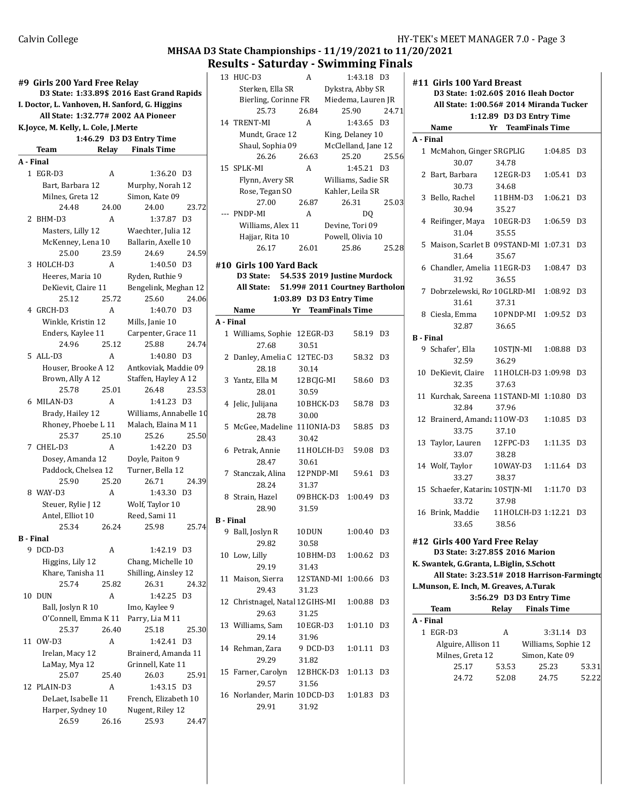# MHSAA D3 State Championships - 11/19/2021 to 11/20/2021 **Results - Saturday - Swimming Finals**<br> $\begin{array}{ccc} 13 & \text{HUC-D3} \\ 1 & \text{HUC-D3} \end{array}$

|                  | #9  Girls 200 Yard Free Relay<br>D3 State: 1:33.89\$ 2016 East Grand Rapids<br>I. Doctor, L. Vanhoven, H. Sanford, G. Higgins |       |                               |                |  |
|------------------|-------------------------------------------------------------------------------------------------------------------------------|-------|-------------------------------|----------------|--|
|                  | All State: 1:32.77# 2002 AA Pioneer                                                                                           |       |                               |                |  |
|                  | K.Joyce, M. Kelly, L. Cole, J.Merte                                                                                           |       |                               |                |  |
|                  |                                                                                                                               |       | 1:46.29 D3 D3 Entry Time      |                |  |
|                  | Team                                                                                                                          |       | <b>Relay</b> Finals Time      |                |  |
| A - Final        |                                                                                                                               |       |                               |                |  |
|                  | 1 EGR-D3                                                                                                                      | A     | 1:36.20 D3                    |                |  |
|                  | Bart, Barbara 12                                                                                                              |       | Murphy, Norah 12              |                |  |
|                  | Milnes, Greta 12                                                                                                              |       | Simon, Kate 09                |                |  |
|                  | 24.48                                                                                                                         | 24.00 | 24.00                         | 23.72          |  |
|                  | 2 BHM-D3                                                                                                                      | A     | 1:37.87 D3                    |                |  |
|                  | Masters, Lilly 12                                                                                                             |       | Waechter, Julia 12            |                |  |
|                  | McKenney, Lena 10                                                                                                             |       | Ballarin, Axelle 10           |                |  |
|                  | 25.00                                                                                                                         | 23.59 | 24.69                         | 24.59          |  |
|                  | 3 HOLCH-D3                                                                                                                    | A     | 1:40.50 D3                    |                |  |
|                  | Heeres, Maria 10                                                                                                              |       | Ryden, Ruthie 9               |                |  |
|                  | DeKievit, Claire 11                                                                                                           |       | Bengelink, Meghan 12          |                |  |
|                  | 25.12                                                                                                                         | 25.72 | 25.60                         | 24.06          |  |
|                  | 4 GRCH-D3                                                                                                                     | A     | 1:40.70 D3                    |                |  |
|                  | Winkle, Kristin 12                                                                                                            |       | Mills, Janie 10               |                |  |
|                  | Enders, Kaylee 11                                                                                                             |       | Carpenter, Grace 11           |                |  |
|                  | 24.96                                                                                                                         | 25.12 | 25.88                         | 24.74          |  |
|                  | 5 ALL-D3                                                                                                                      | A     | 1:40.80 D3                    |                |  |
|                  |                                                                                                                               |       |                               |                |  |
|                  | Houser, Brooke A 12                                                                                                           |       | Antkoviak, Maddie 09          |                |  |
|                  | Brown, Ally A 12<br>25.78                                                                                                     | 25.01 | Staffen, Hayley A 12<br>26.48 | 23.53          |  |
|                  |                                                                                                                               |       |                               |                |  |
|                  | 6 MILAN-D3                                                                                                                    | A     | 1:41.23 D3                    |                |  |
|                  | Brady, Hailey 12                                                                                                              |       | Williams, Annabelle 10        |                |  |
|                  | Rhoney, Phoebe L 11<br>25.37                                                                                                  | 25.10 | Malach, Elaina M 11           | 25.50          |  |
|                  |                                                                                                                               |       | 25.26                         |                |  |
|                  | 7 CHEL-D3                                                                                                                     | A     | 1:42.20 D3                    |                |  |
|                  | Dosey, Amanda 12                                                                                                              |       | Doyle, Paiton 9               |                |  |
|                  | Paddock, Chelsea 12                                                                                                           |       | Turner, Bella 12              |                |  |
|                  | 25.90                                                                                                                         | 25.20 | 26.71                         | 24.39          |  |
|                  | 8 WAY-D3                                                                                                                      | A     | 1:43.30 D3                    |                |  |
|                  | Steuer, Rylie J 12                                                                                                            |       | Wolf, Taylor 10               |                |  |
|                  | Antel, Elliot 10                                                                                                              |       | Reed, Sami 11                 |                |  |
|                  | 25.34 26.24                                                                                                                   |       | 25.98                         | 25.74          |  |
| <b>B</b> - Final |                                                                                                                               |       |                               |                |  |
|                  | 9 DCD-D3                                                                                                                      | A     | 1:42.19 D3                    |                |  |
|                  | Higgins, Lily 12                                                                                                              |       | Chang, Michelle 10            |                |  |
|                  | Khare, Tanisha 11                                                                                                             |       | Shilling, Ainsley 12          |                |  |
|                  | 25.74                                                                                                                         | 25.82 | 26.31                         | 24.32          |  |
|                  | 10 DUN                                                                                                                        | A     | 1:42.25                       | D3             |  |
|                  | Ball, Joslyn R 10                                                                                                             |       | Imo, Kaylee 9                 |                |  |
|                  | O'Connell, Emma K 11                                                                                                          |       | Parry, Lia M 11               |                |  |
|                  | 25.37                                                                                                                         | 26.40 | 25.18                         | 25.30          |  |
| 11               | OW-D3                                                                                                                         | A     | 1:42.41                       | D3             |  |
|                  | Irelan, Macy 12                                                                                                               |       | Brainerd, Amanda 11           |                |  |
|                  | LaMay, Mya 12                                                                                                                 |       | Grinnell, Kate 11             |                |  |
|                  | 25.07                                                                                                                         | 25.40 | 26.03                         | 25.91          |  |
|                  | 12 PLAIN-D3                                                                                                                   | A     | 1:43.15                       | D <sub>3</sub> |  |
|                  | DeLaet, Isabelle 11                                                                                                           |       | French, Elizabeth 10          |                |  |
|                  | Harper, Sydney 10                                                                                                             |       | Nugent, Riley 12              |                |  |
|                  | 26.59                                                                                                                         | 26.16 | 25.93                         | 24.47          |  |
|                  |                                                                                                                               |       |                               |                |  |

|                  | 13 HUC-D3                               | A          | 1:43.18 D3                     |                | #∶ |
|------------------|-----------------------------------------|------------|--------------------------------|----------------|----|
|                  | Sterken, Ella SR                        |            | Dykstra, Abby SR               |                |    |
|                  | Bierling, Corinne FR                    |            | Miedema, Lauren JR             |                |    |
|                  | 25.73                                   | 26.84      | 25.90                          | 24.71          |    |
|                  | 14 TRENT-MI                             | A          | 1:43.65 D3                     |                |    |
|                  |                                         |            | King, Delaney 10               |                |    |
|                  | Mundt, Grace 12                         |            |                                |                | A  |
|                  | Shaul, Sophia 09                        |            | McClelland, Jane 12            |                |    |
|                  | 26.26                                   | 26.63      | 25.20                          | 25.56          |    |
|                  | 15 SPLK-MI                              | A          | 1:45.21 D3                     |                |    |
|                  | Flynn, Avery SR                         |            | Williams, Sadie SR             |                |    |
|                  | Rose, Tegan SO                          |            | Kahler, Leila SR               |                |    |
|                  | 27.00                                   | 26.87      | 26.31                          | 25.03          |    |
|                  | --- PNDP-MI                             | A          | DQ                             |                |    |
|                  | Williams, Alex 11                       |            | Devine, Tori 09                |                |    |
|                  | Hajjar, Rita 10                         |            | Powell, Olivia 10              |                |    |
|                  | 26.17                                   | 26.01      | 25.86                          | 25.28          |    |
|                  |                                         |            |                                |                |    |
|                  | #10 Girls 100 Yard Back                 |            |                                |                |    |
|                  | D3 State: 54.53\$ 2019 Justine Murdock  |            |                                |                |    |
|                  | All State:                              |            | 51.99# 2011 Courtney Bartholon |                |    |
|                  |                                         |            | 1:03.89 D3 D3 Entry Time       |                |    |
|                  | Name                                    |            | Yr TeamFinals Time             |                |    |
| A - Final        |                                         |            |                                |                |    |
|                  |                                         |            |                                |                |    |
|                  | 1 Williams, Sophie 12EGR-D3             |            | 58.19 D3                       |                | В  |
|                  | 27.68                                   | 30.51      |                                |                |    |
|                  | 2 Danley, Amelia C 12TEC-D3             |            | 58.32 D3                       |                |    |
|                  | 28.18                                   | 30.14      |                                |                | 1  |
|                  | 3 Yantz, Ella M                         | 12 BCJG-MI | 58.60 D3                       |                |    |
|                  | 28.01                                   | 30.59      |                                |                |    |
|                  | 4 Jelic, Julijana                       | 10BHCK-D3  | 58.78                          | D <sub>3</sub> | 1  |
|                  | 28.78                                   | 30.00      |                                |                |    |
|                  |                                         |            |                                |                | 1  |
|                  | 5 McGee, Madeline 11IONIA-D3            |            | 58.85 D3                       |                |    |
|                  | 28.43                                   | 30.42      |                                |                | 1  |
|                  | 6 Petrak, Annie 11 HOLCH-D3             |            | 59.08                          | D <sub>3</sub> |    |
|                  | 28.47                                   | 30.61      |                                |                | 1  |
|                  | 7 Stanczak, Alina 12 PNDP-MI            |            | 59.61 D3                       |                |    |
|                  | 28.24                                   | 31.37      |                                |                |    |
|                  | 8 Strain, Hazel                         |            | 09BHCK-D3 1:00.49 D3           |                | 1  |
|                  | 28.90                                   | 31.59      |                                |                |    |
| <b>B</b> - Final |                                         |            |                                |                | 1  |
|                  |                                         |            |                                |                |    |
|                  | 9 Ball, Joslyn R                        | 10DUN      | 1:00.40 D3                     |                |    |
|                  | 29.82                                   | 30.58      |                                |                | #∶ |
|                  | 10 Low, Lilly                           | 10BHM-D3   | 1:00.62                        | D <sub>3</sub> |    |
|                  | 29.19                                   | 31.43      |                                |                | K. |
|                  | 11 Maison, Sierra 12 STAND-MI 1:00.66   |            |                                | D3             |    |
|                  | 29.43                                   | 31.23      |                                |                | L. |
|                  | 12 Christnagel, Natal 12 GIHS-MI        |            | 1:00.88                        | D3             |    |
|                  | 29.63                                   | 31.25      |                                |                |    |
|                  |                                         |            |                                |                | A  |
|                  | 13 Williams, Sam                        | 10EGR-D3   | 1:01.10                        | D3             |    |
|                  | 29.14                                   | 31.96      |                                |                |    |
|                  | 14 Rehman, Zara                         | 9 DCD-D3   | 1:01.11                        | D3             |    |
|                  | 29.29                                   | 31.82      |                                |                |    |
|                  | 15 Farner, Carolyn 12BHCK-D3 1:01.13 D3 |            |                                |                |    |
|                  | 29.57                                   | 31.56      |                                |                |    |
|                  | 16 Norlander, Marin 10DCD-D3            |            | 1:01.83                        | D3             |    |
|                  | 29.91                                   | 31.92      |                                |                |    |
|                  |                                         |            |                                |                |    |

|                  | #11 Girls 100 Yard Breast                                        |                          |                     |                |
|------------------|------------------------------------------------------------------|--------------------------|---------------------|----------------|
|                  | D3 State: 1:02.60\$ 2016 Ileah Doctor                            |                          |                     |                |
|                  | All State: 1:00.56# 2014 Miranda Tucker                          |                          |                     |                |
|                  | Name                                                             | 1:12.89 D3 D3 Entry Time |                     |                |
|                  |                                                                  | Yr TeamFinals Time       |                     |                |
| A - Final        |                                                                  |                          |                     |                |
|                  | 1 McMahon, Ginger SRGPLIG                                        |                          | 1:04.85 D3          |                |
|                  | 30.07                                                            | 34.78                    |                     |                |
|                  | 2 Bart, Barbara                                                  | 12 EGR-D3                | 1:05.41 D3          |                |
|                  | 30.73                                                            | 34.68                    |                     |                |
|                  | 3 Bello, Rachel                                                  | 11BHM-D3                 | 1:06.21             | D <sub>3</sub> |
|                  | 30.94                                                            | 35.27                    |                     |                |
|                  | 4 Reifinger, Maya 10EGR-D3 1:06.59                               |                          |                     | D3             |
|                  | 31.04                                                            | 35.55                    |                     |                |
|                  | 5 Maison, Scarlet B 09STAND-MI 1:07.31                           |                          |                     | D3             |
|                  | 31.64                                                            | 35.67                    |                     |                |
|                  | 6 Chandler, Amelia 11EGR-D3 1:08.47 D3                           |                          |                     |                |
|                  | 31.92                                                            | 36.55                    |                     |                |
|                  | 7 Dobrzelewski, Ro 10GLRD-MI 1:08.92 D3                          |                          |                     |                |
|                  | 31.61                                                            | 37.31                    |                     |                |
|                  | 8 Ciesla, Emma 10PNDP-MI 1:09.52 D3                              |                          |                     |                |
|                  | 32.87                                                            | 36.65                    |                     |                |
| <b>B</b> - Final |                                                                  |                          |                     |                |
|                  | 9 Schafer', Ella 10STJN-MI 1:08.88 D3                            |                          |                     |                |
|                  | 32.59                                                            | 36.29                    |                     |                |
|                  | 10 DeKievit, Claire 11HOLCH-D3 1:09.98                           |                          |                     | D3             |
|                  | 32.35                                                            | 37.63                    |                     |                |
|                  | 11 Kurchak, Sareena 11 STAND-MI 1:10.80 D3                       |                          |                     |                |
|                  | 32.84                                                            | 37.96                    |                     |                |
|                  | 12 Brainerd, Amanda 110W-D3                                      |                          | 1:10.85 D3          |                |
|                  | 33.75                                                            | 37.10                    |                     |                |
|                  | 13 Taylor, Lauren 12 FPC-D3                                      |                          | 1:11.35 D3          |                |
|                  | 33.07                                                            | 38.28                    |                     |                |
|                  | 14 Wolf, Taylor                                                  | 10 WAY-D3  1:11.64  D3   |                     |                |
|                  | 33.27                                                            | 38.37                    |                     |                |
|                  | 15 Schaefer, Katarin; 10STJN-MI 1:11.70 D3                       |                          |                     |                |
|                  | 33.72                                                            | 37.98                    |                     |                |
|                  | 16 Brink, Maddie 11HOLCH-D3 1:12.21 D3                           |                          |                     |                |
|                  | 33.65                                                            | 38.56                    |                     |                |
|                  |                                                                  |                          |                     |                |
|                  | #12 Girls 400 Yard Free Relay<br>D3 State: 3:27.85\$ 2016 Marion |                          |                     |                |
|                  | K. Swantek, G.Granta, L.Biglin, S.Schott                         |                          |                     |                |
|                  | All State: 3:23.51# 2018 Harrison-Farmingto                      |                          |                     |                |
|                  | L.Munson, E. Inch, M. Greaves, A.Turak                           |                          |                     |                |
|                  |                                                                  | 3:56.29 D3 D3 Entry Time |                     |                |
|                  | Team                                                             | Relay                    | <b>Finals Time</b>  |                |
| A - Final        |                                                                  |                          |                     |                |
|                  | 1 EGR-D3                                                         | A                        | 3:31.14 D3          |                |
|                  | Alguire, Allison 11                                              |                          | Williams, Sophie 12 |                |
|                  | Milnes, Greta 12                                                 |                          | Simon, Kate 09      |                |
|                  | 25.17                                                            | 53.53                    | 25.23               | 53.31          |
|                  | 24.72                                                            | 52.08                    | 24.75               | 52.22          |
|                  |                                                                  |                          |                     |                |
|                  |                                                                  |                          |                     |                |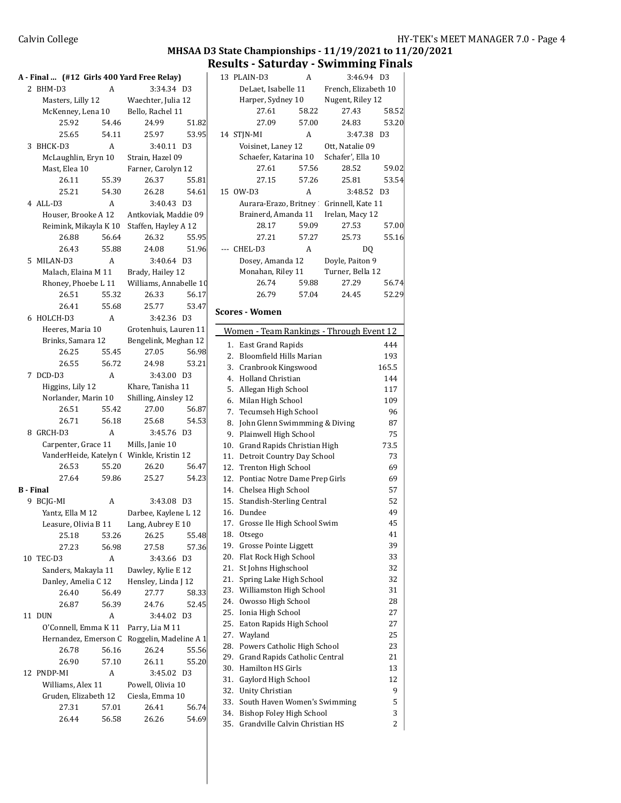### MHSAA D3 State Championships - 11/19/2021 to 11/20/2021

|    | A - Final  (#12 Girls 400 Yard Free Relay)   |              |                                                                                        |                |   |
|----|----------------------------------------------|--------------|----------------------------------------------------------------------------------------|----------------|---|
|    | 2 BHM-D3                                     | A            | 3:34.34 D3                                                                             |                |   |
|    | Masters, Lilly 12                            |              | Waechter, Julia 12                                                                     |                |   |
|    |                                              |              | McKenney, Lena 10 Bello, Rachel 11                                                     |                |   |
|    | 25.92                                        | 54.46        | 24.99                                                                                  | 51.82          |   |
|    | 25.65                                        | 54.11        | 25.97                                                                                  | 53.95          |   |
| 3  | BHCK-D3                                      | A            | 3:40.11                                                                                | D3             |   |
|    | McLaughlin, Eryn 10                          |              | Strain, Hazel 09                                                                       |                |   |
|    | Mast, Elea 10                                |              | Farner, Carolyn 12                                                                     |                |   |
|    | 26.11                                        | 55.39        | 26.37                                                                                  | 55.81          |   |
|    | 25.21<br>$4$ ALL-D3                          | 54.30        | 26.28                                                                                  | 54.61          |   |
|    |                                              | A            | 3:40.43 D3                                                                             |                |   |
|    |                                              |              | Houser, Brooke A 12 Antkoviak, Maddie 09<br>Reimink, Mikayla K 10 Staffen, Hayley A 12 |                |   |
|    | 26.88                                        | 56.64        | 26.32                                                                                  | 55.95          |   |
|    | 26.43                                        | 55.88        | 24.08                                                                                  | 51.96          |   |
|    | 5 MILAN-D3                                   | A            | 3:40.64 D3                                                                             |                |   |
|    | Malach, Elaina M 11                          |              | Brady, Hailey 12                                                                       |                |   |
|    |                                              |              | Rhoney, Phoebe L 11 Williams, Annabelle 10                                             |                |   |
|    | 26.51                                        | 55.32        | 26.33                                                                                  | 56.17          |   |
|    | 26.41                                        | 55.68        | 25.77                                                                                  | 53.47          |   |
|    | 6 HOLCH-D3                                   | $\mathsf{A}$ | 3:42.36 D3                                                                             |                | S |
|    | Heeres, Maria 10                             |              | Grotenhuis, Lauren 11                                                                  |                |   |
|    | Brinks, Samara 12                            |              | Bengelink, Meghan 12                                                                   |                |   |
|    | 26.25                                        | 55.45        | 27.05                                                                                  | 56.98          |   |
|    | 26.55                                        | 56.72        | 24.98                                                                                  | 53.21          |   |
|    | 7 DCD-D3                                     | A            | 3:43.00 D3                                                                             |                |   |
|    | Higgins, Lily 12                             |              | Khare, Tanisha 11                                                                      |                |   |
|    | Norlander, Marin 10                          |              | Shilling, Ainsley 12                                                                   |                |   |
|    | 26.51                                        | 55.42        | 27.00                                                                                  | 56.87          |   |
|    | 26.71                                        | 56.18        | 25.68                                                                                  | 54.53          |   |
| 8. | GRCH-D3                                      | A            | 3:45.76 D3                                                                             |                |   |
|    |                                              |              | Carpenter, Grace 11 Mills, Janie 10                                                    |                |   |
|    |                                              |              | VanderHeide, Katelyn ( Winkle, Kristin 12                                              |                |   |
|    | 26.53                                        | 55.20        | 26.20                                                                                  | 56.47          |   |
|    | 27.64                                        | 59.86        | 25.27                                                                                  | 54.23          |   |
|    | <b>B</b> - Final                             |              |                                                                                        |                |   |
|    | 9 BCJG-MI                                    | A            | 3:43.08 D3                                                                             |                |   |
|    | Yantz, Ella M 12                             |              | Darbee, Kaylene L 12                                                                   |                |   |
|    | Leasure, Olivia B 11                         |              | Lang, Aubrey E 10                                                                      |                |   |
|    | 25.18                                        | 53.26        | 26.25                                                                                  | 55.48          |   |
|    | 27.23                                        | 56.98        | 27.58                                                                                  | 57.36          |   |
|    | 10 TEC-D3                                    | A            | 3:43.66                                                                                | D3             |   |
|    | Sanders, Makayla 11                          |              | Dawley, Kylie E 12                                                                     |                |   |
|    | Danley, Amelia C 12                          |              | Hensley, Linda J 12                                                                    |                |   |
|    | 26.40                                        | 56.49        | 27.77                                                                                  | 58.33          |   |
|    | 26.87                                        | 56.39        | 24.76                                                                                  | 52.45          |   |
| 11 | <b>DUN</b>                                   | A            | 3:44.02                                                                                | D <sub>3</sub> |   |
|    | O'Connell, Emma K 11<br>Hernandez, Emerson C |              | Parry, Lia M 11                                                                        |                |   |
|    | 26.78                                        | 56.16        | Roggelin, Madeline A 1<br>26.24                                                        |                |   |
|    | 26.90                                        | 57.10        | 26.11                                                                                  | 55.56<br>55.20 |   |
| 12 | PNDP-MI                                      | A            | 3:45.02 D3                                                                             |                |   |
|    | Williams, Alex 11                            |              | Powell, Olivia 10                                                                      |                |   |
|    | Gruden, Elizabeth 12                         |              | Ciesla, Emma 10                                                                        |                |   |
|    | 27.31                                        | 57.01        | 26.41                                                                                  | 56.74          |   |
|    | 26.44                                        | 56.58        | 26.26                                                                                  | 54.69          |   |
|    |                                              |              |                                                                                        |                |   |

|            | Results - Saturday - Swimming Finals                      |                |                          |                |
|------------|-----------------------------------------------------------|----------------|--------------------------|----------------|
|            | 13 PLAIN-D3                                               | A              | 3:46.94 D3               |                |
|            | DeLaet, Isabelle 11                                       |                | French. Elizabeth 10     |                |
|            | Harper, Sydney 10                                         |                | Nugent, Riley 12         |                |
|            | 27.61                                                     | 58.22          | 27.43                    | 58.52          |
|            | 27.09                                                     | 57.00          | 24.83                    | 53.20          |
|            | 14 STJN-MI                                                | A              | 3:47.38                  | D <sub>3</sub> |
|            | Voisinet, Laney 12                                        |                | Ott, Natalie 09          |                |
|            | Schaefer, Katarina 10                                     |                | Schafer', Ella 10        |                |
|            | 27.61                                                     | 57.56          | 28.52                    | 59.02          |
|            | 27.15                                                     | 57.26          | 25.81                    | 53.54          |
|            | 15 OW-D3                                                  | A              | 3:48.52 D3               |                |
|            | Aurara-Erazo, Britney                                     |                | Grinnell, Kate 11        |                |
|            | Brainerd, Amanda 11<br>28.17                              |                | Irelan, Macy 12<br>27.53 |                |
|            | 27.21                                                     | 59.09<br>57.27 | 25.73                    | 57.00<br>55.16 |
| ---        | CHEL-D3                                                   | A              | DQ                       |                |
|            | Dosey, Amanda 12                                          |                | Doyle, Paiton 9          |                |
|            | Monahan, Riley 11                                         |                | Turner, Bella 12         |                |
|            | 26.74                                                     | 59.88          | 27.29                    | 56.74          |
|            | 26.79                                                     | 57.04          | 24.45                    | 52.29          |
|            |                                                           |                |                          |                |
|            | Scores - Women                                            |                |                          |                |
|            | Women - Team Rankings - Through Event 12                  |                |                          |                |
| 1.         | East Grand Rapids                                         |                |                          | 444            |
| 2.         | <b>Bloomfield Hills Marian</b>                            |                |                          | 193            |
|            | 3. Cranbrook Kingswood                                    |                |                          | 165.5          |
|            | 4. Holland Christian                                      |                |                          | 144            |
| 5.         | Allegan High School                                       |                |                          | 117            |
| 6.         | Milan High School                                         |                |                          | 109            |
| 7.         | Tecumseh High School                                      |                |                          | 96             |
| 8.         | John Glenn Swimmming & Diving                             |                |                          | 87             |
|            | 9. Plainwell High School                                  |                |                          | 75             |
| 10.        | Grand Rapids Christian High                               |                |                          | 73.5           |
| 11.        | Detroit Country Day School                                |                |                          | 73             |
| 12.        | Trenton High School                                       |                |                          | 69             |
|            | 12. Pontiac Notre Dame Prep Girls                         |                |                          | 69             |
| 15.        | 14. Chelsea High School<br>Standish-Sterling Central      |                |                          | 57<br>52       |
| 16.        | Dundee                                                    |                |                          | 49             |
| 17.        | Grosse Ile High School Swim                               |                |                          | 45             |
| 18.        | Otsego                                                    |                |                          | 41             |
| 19.        | <b>Grosse Pointe Liggett</b>                              |                |                          | 39             |
| 20.        | Flat Rock High School                                     |                |                          | 33             |
| 21.        | St Johns Highschool                                       |                |                          | 32             |
| 21.        | Spring Lake High School                                   |                |                          | 32             |
| 23.        | Williamston High School                                   |                |                          | 31             |
| 24.        | Owosso High School                                        |                |                          | 28             |
| 25.        | Ionia High School                                         |                |                          | 27             |
| 25.        | Eaton Rapids High School                                  |                |                          | 27             |
| 27.        | Wayland                                                   |                |                          | 25             |
| 28.        | Powers Catholic High School                               |                |                          | 23             |
| 29.<br>30. | <b>Grand Rapids Catholic Central</b><br>Hamilton HS Girls |                |                          | 21<br>13       |
| 31.        | Gaylord High School                                       |                |                          | 12             |
| 32.        | Unity Christian                                           |                |                          | 9              |
| 33.        | South Haven Women's Swimming                              |                |                          | 5              |
| 34.        | Bishop Foley High School                                  |                |                          | 3              |
| 35.        | Grandville Calvin Christian HS                            |                |                          | 2              |